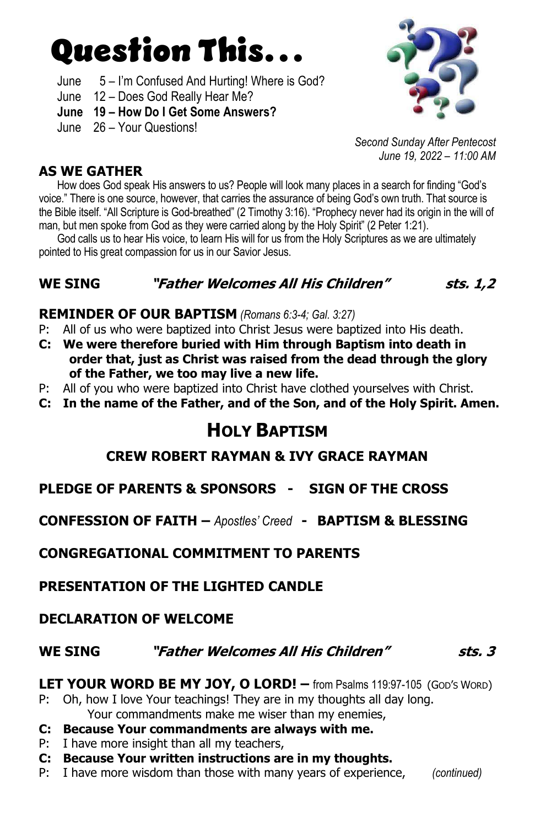# Question This…

- June 5 I'm Confused And Hurting! Where is God?
- June 12 Does God Really Hear Me?
- June 19 How Do I Get Some Answers?
- June 26 Your Questions!



Second Sunday After Pentecost June 19, 2022 – 11:00 AM

#### AS WE GATHER

How does God speak His answers to us? People will look many places in a search for finding "God's voice." There is one source, however, that carries the assurance of being God's own truth. That source is the Bible itself. "All Scripture is God-breathed" (2 Timothy 3:16). "Prophecy never had its origin in the will of man, but men spoke from God as they were carried along by the Holy Spirit" (2 Peter 1:21).

 God calls us to hear His voice, to learn His will for us from the Holy Scriptures as we are ultimately pointed to His great compassion for us in our Savior Jesus.

# WE SING THather Welcomes All His Children" sts. 1.2

### REMINDER OF OUR BAPTISM (Romans 6:3-4; Gal. 3:27)

- P: All of us who were baptized into Christ Jesus were baptized into His death.
- C: We were therefore buried with Him through Baptism into death in order that, just as Christ was raised from the dead through the glory of the Father, we too may live a new life.
- P: All of you who were baptized into Christ have clothed yourselves with Christ.
- C: In the name of the Father, and of the Son, and of the Holy Spirit. Amen.

# HOLY BAPTISM

### CREW ROBERT RAYMAN & IVY GRACE RAYMAN

PLEDGE OF PARENTS & SPONSORS - SIGN OF THE CROSS

CONFESSION OF FAITH – Apostles' Creed - BAPTISM & BLESSING

CONGREGATIONAL COMMITMENT TO PARENTS

PRESENTATION OF THE LIGHTED CANDLE

### DECLARATION OF WELCOME

### WE SING THather Welcomes All His Children" sts. 3

LET YOUR WORD BE MY JOY, O LORD! - from Psalms 119:97-105 (God's Word)

P: Oh, how I love Your teachings! They are in my thoughts all day long. Your commandments make me wiser than my enemies,

#### C: Because Your commandments are always with me.

- P: I have more insight than all my teachers,
- C: Because Your written instructions are in my thoughts.
- P: I have more wisdom than those with many years of experience, (continued)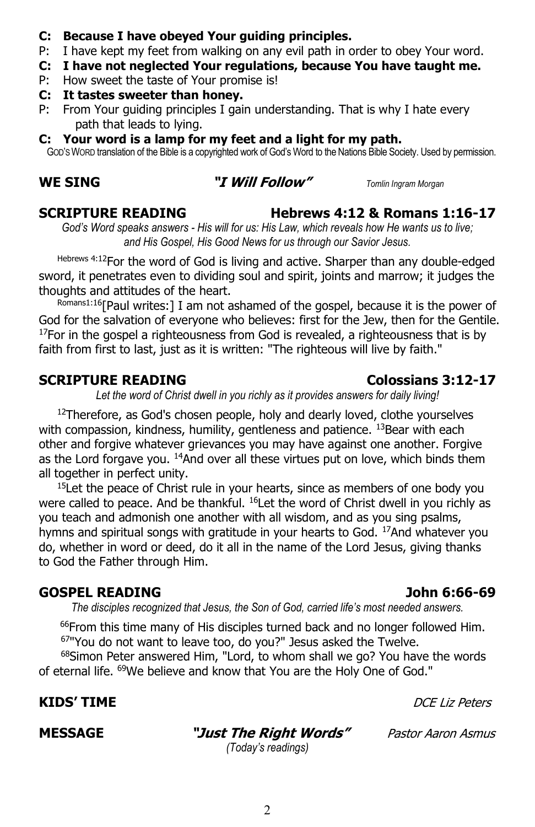### C: Because I have obeyed Your guiding principles.

- P: I have kept my feet from walking on any evil path in order to obey Your word.
- C: I have not neglected Your regulations, because You have taught me.
- P: How sweet the taste of Your promise is!
- C: It tastes sweeter than honey.
- P: From Your guiding principles I gain understanding. That is why I hate every path that leads to lying.
- C: Your word is a lamp for my feet and a light for my path.

GOD'S WORD translation of the Bible is a copyrighted work of God's Word to the Nations Bible Society. Used by permission.

#### WE SING **"I Will Follow"** Tomlin Ingram Morgan

#### SCRIPTURE READING Hebrews 4:12 & Romans 1:16-17

God's Word speaks answers - His will for us: His Law, which reveals how He wants us to live; and His Gospel, His Good News for us through our Savior Jesus.

Hebrews 4:12For the word of God is living and active. Sharper than any double-edged sword, it penetrates even to dividing soul and spirit, joints and marrow; it judges the thoughts and attitudes of the heart.

Romans1:16[Paul writes:] I am not ashamed of the gospel, because it is the power of God for the salvation of everyone who believes: first for the Jew, then for the Gentile.<br><sup>17</sup>For in the gospel a righteousness from God is revealed, a righteousness that is by faith from first to last, just as it is written: "The righteous will live by faith."

#### SCRIPTURE READING Colossians 3:12-17

Let the word of Christ dwell in you richly as it provides answers for daily living!

 $12$ Therefore, as God's chosen people, holy and dearly loved, clothe yourselves with compassion, kindness, humility, gentleness and patience. <sup>13</sup> Bear with each other and forgive whatever grievances you may have against one another. Forgive as the Lord forgave you.  $14$ And over all these virtues put on love, which binds them all together in perfect unity.

<sup>15</sup>Let the peace of Christ rule in your hearts, since as members of one body you were called to peace. And be thankful. <sup>16</sup>Let the word of Christ dwell in you richly as you teach and admonish one another with all wisdom, and as you sing psalms, hymns and spiritual songs with gratitude in your hearts to God. <sup>17</sup>And whatever you do, whether in word or deed, do it all in the name of the Lord Jesus, giving thanks to God the Father through Him.

# GOSPEL READING John 6:66-69

The disciples recognized that Jesus, the Son of God, carried life's most needed answers.

<sup>66</sup>From this time many of His disciples turned back and no longer followed Him. <sup>67</sup>"You do not want to leave too, do you?" Jesus asked the Twelve.

<sup>68</sup>Simon Peter answered Him, "Lord, to whom shall we go? You have the words of eternal life. <sup>69</sup>We believe and know that You are the Holy One of God."

# **KIDS' TIME** Example the state of the state of the state of the *DCE Liz Peters* of the state of the state of the state of the state of the state of the state of the state of the state of the state of the state of the stat

**MESSAGE "Just The Right Words"** Pastor Aaron Asmus

(Today's readings)